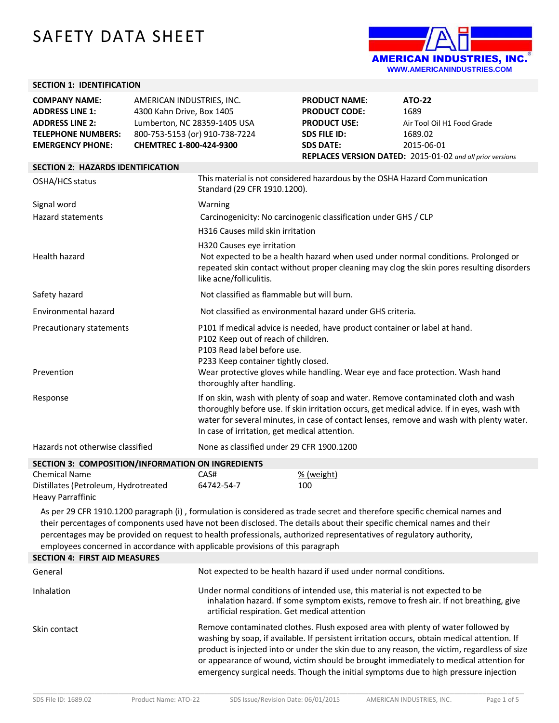# SAFETY DATA SHEET



### **SECTION 1: IDENTIFICATION**

| <b>COMPANY NAME:</b><br><b>ADDRESS LINE 1:</b><br><b>ADDRESS LINE 2:</b><br><b>TELEPHONE NUMBERS:</b> | AMERICAN INDUSTRIES, INC.<br>4300 Kahn Drive, Box 1405<br>Lumberton, NC 28359-1405 USA<br>800-753-5153 (or) 910-738-7224 | <b>PRODUCT NAME:</b><br><b>PRODUCT CODE:</b><br><b>PRODUCT USE:</b><br><b>SDS FILE ID:</b> | <b>ATO-22</b><br>1689<br>Air Tool Oil H1 Food Grade<br>1689.02                                                                                                                                                                                                                |
|-------------------------------------------------------------------------------------------------------|--------------------------------------------------------------------------------------------------------------------------|--------------------------------------------------------------------------------------------|-------------------------------------------------------------------------------------------------------------------------------------------------------------------------------------------------------------------------------------------------------------------------------|
| <b>EMERGENCY PHONE:</b>                                                                               | CHEMTREC 1-800-424-9300                                                                                                  | <b>SDS DATE:</b>                                                                           | 2015-06-01<br>REPLACES VERSION DATED: 2015-01-02 and all prior versions                                                                                                                                                                                                       |
| <b>SECTION 2: HAZARDS IDENTIFICATION</b>                                                              |                                                                                                                          |                                                                                            |                                                                                                                                                                                                                                                                               |
| OSHA/HCS status                                                                                       | Standard (29 CFR 1910.1200).                                                                                             | This material is not considered hazardous by the OSHA Hazard Communication                 |                                                                                                                                                                                                                                                                               |
| Signal word                                                                                           | Warning                                                                                                                  |                                                                                            |                                                                                                                                                                                                                                                                               |
| <b>Hazard statements</b>                                                                              |                                                                                                                          | Carcinogenicity: No carcinogenic classification under GHS / CLP                            |                                                                                                                                                                                                                                                                               |
|                                                                                                       | H316 Causes mild skin irritation                                                                                         |                                                                                            |                                                                                                                                                                                                                                                                               |
| Health hazard                                                                                         | H320 Causes eye irritation<br>like acne/folliculitis.                                                                    |                                                                                            | Not expected to be a health hazard when used under normal conditions. Prolonged or<br>repeated skin contact without proper cleaning may clog the skin pores resulting disorders                                                                                               |
| Safety hazard                                                                                         |                                                                                                                          | Not classified as flammable but will burn.                                                 |                                                                                                                                                                                                                                                                               |
| Environmental hazard                                                                                  |                                                                                                                          | Not classified as environmental hazard under GHS criteria.                                 |                                                                                                                                                                                                                                                                               |
| Precautionary statements                                                                              | P102 Keep out of reach of children.<br>P103 Read label before use.<br>P233 Keep container tightly closed.                | P101 If medical advice is needed, have product container or label at hand.                 |                                                                                                                                                                                                                                                                               |
| Prevention                                                                                            | thoroughly after handling.                                                                                               | Wear protective gloves while handling. Wear eye and face protection. Wash hand             |                                                                                                                                                                                                                                                                               |
| Response                                                                                              |                                                                                                                          | In case of irritation, get medical attention.                                              | If on skin, wash with plenty of soap and water. Remove contaminated cloth and wash<br>thoroughly before use. If skin irritation occurs, get medical advice. If in eyes, wash with<br>water for several minutes, in case of contact lenses, remove and wash with plenty water. |
| Hazards not otherwise classified                                                                      |                                                                                                                          | None as classified under 29 CFR 1900.1200                                                  |                                                                                                                                                                                                                                                                               |
|                                                                                                       | SECTION 3: COMPOSITION/INFORMATION ON INGREDIENTS                                                                        |                                                                                            |                                                                                                                                                                                                                                                                               |
| <b>Chemical Name</b>                                                                                  | CAS#                                                                                                                     | % (weight)                                                                                 |                                                                                                                                                                                                                                                                               |

| <u>JECHUN J. CONNI OJHIDNININI ONNAHON ON INGNEDIENIJ</u> |            |          |
|-----------------------------------------------------------|------------|----------|
| <b>Chemical Name</b>                                      | CAS#       | % (weigh |
| Distillates (Petroleum, Hydrotreated                      | 64742-54-7 | 100      |
| <b>Heavy Parraffinic</b>                                  |            |          |

As per 29 CFR 1910.1200 paragraph (i) , formulation is considered as trade secret and therefore specific chemical names and their percentages of components used have not been disclosed. The details about their specific chemical names and their percentages may be provided on request to health professionals, authorized representatives of regulatory authority, employees concerned in accordance with applicable provisions of this paragraph

| <b>SECTION 4: FIRST AID MEASURES</b> |                                                                                                                                                                                                                                                                                                                                                                                                                                                                   |
|--------------------------------------|-------------------------------------------------------------------------------------------------------------------------------------------------------------------------------------------------------------------------------------------------------------------------------------------------------------------------------------------------------------------------------------------------------------------------------------------------------------------|
| General                              | Not expected to be health hazard if used under normal conditions.                                                                                                                                                                                                                                                                                                                                                                                                 |
| Inhalation                           | Under normal conditions of intended use, this material is not expected to be<br>inhalation hazard. If some symptom exists, remove to fresh air. If not breathing, give<br>artificial respiration. Get medical attention                                                                                                                                                                                                                                           |
| Skin contact                         | Remove contaminated clothes. Flush exposed area with plenty of water followed by<br>washing by soap, if available. If persistent irritation occurs, obtain medical attention. If<br>product is injected into or under the skin due to any reason, the victim, regardless of size<br>or appearance of wound, victim should be brought immediately to medical attention for<br>emergency surgical needs. Though the initial symptoms due to high pressure injection |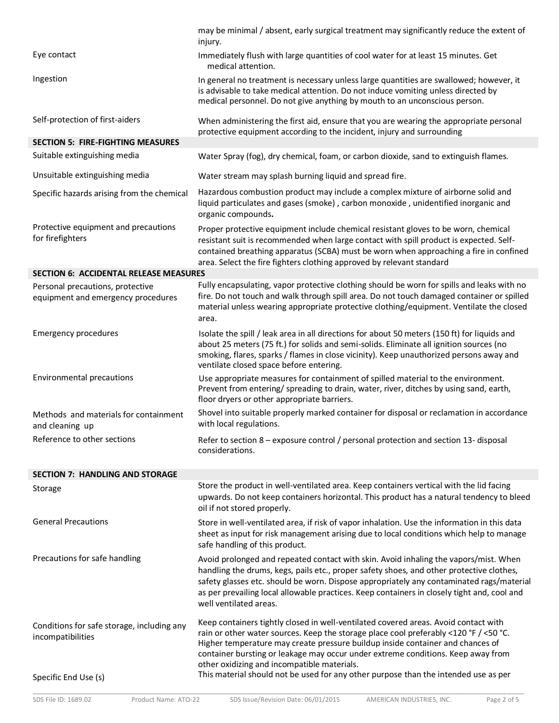|                                                                          | may be minimal / absent, early surgical treatment may significantly reduce the extent of<br>injury.                                                                                                                                                                                                                                                                                                   |
|--------------------------------------------------------------------------|-------------------------------------------------------------------------------------------------------------------------------------------------------------------------------------------------------------------------------------------------------------------------------------------------------------------------------------------------------------------------------------------------------|
| Eye contact                                                              | Immediately flush with large quantities of cool water for at least 15 minutes. Get<br>medical attention.                                                                                                                                                                                                                                                                                              |
| Ingestion                                                                | In general no treatment is necessary unless large quantities are swallowed; however, it<br>is advisable to take medical attention. Do not induce vomiting unless directed by<br>medical personnel. Do not give anything by mouth to an unconscious person.                                                                                                                                            |
| Self-protection of first-aiders                                          | When administering the first aid, ensure that you are wearing the appropriate personal<br>protective equipment according to the incident, injury and surrounding                                                                                                                                                                                                                                      |
| <b>SECTION 5: FIRE-FIGHTING MEASURES</b><br>Suitable extinguishing media | Water Spray (fog), dry chemical, foam, or carbon dioxide, sand to extinguish flames.                                                                                                                                                                                                                                                                                                                  |
|                                                                          |                                                                                                                                                                                                                                                                                                                                                                                                       |
| Unsuitable extinguishing media                                           | Water stream may splash burning liquid and spread fire.                                                                                                                                                                                                                                                                                                                                               |
| Specific hazards arising from the chemical                               | Hazardous combustion product may include a complex mixture of airborne solid and<br>liquid particulates and gases (smoke), carbon monoxide, unidentified inorganic and<br>organic compounds.                                                                                                                                                                                                          |
| Protective equipment and precautions<br>for firefighters                 | Proper protective equipment include chemical resistant gloves to be worn, chemical<br>resistant suit is recommended when large contact with spill product is expected. Self-<br>contained breathing apparatus (SCBA) must be worn when approaching a fire in confined<br>area. Select the fire fighters clothing approved by relevant standard                                                        |
| <b>SECTION 6: ACCIDENTAL RELEASE MEASURES</b>                            |                                                                                                                                                                                                                                                                                                                                                                                                       |
| Personal precautions, protective<br>equipment and emergency procedures   | Fully encapsulating, vapor protective clothing should be worn for spills and leaks with no<br>fire. Do not touch and walk through spill area. Do not touch damaged container or spilled<br>material unless wearing appropriate protective clothing/equipment. Ventilate the closed<br>area.                                                                                                           |
| <b>Emergency procedures</b>                                              | Isolate the spill / leak area in all directions for about 50 meters (150 ft) for liquids and<br>about 25 meters (75 ft.) for solids and semi-solids. Eliminate all ignition sources (no<br>smoking, flares, sparks / flames in close vicinity). Keep unauthorized persons away and<br>ventilate closed space before entering.                                                                         |
| Environmental precautions                                                | Use appropriate measures for containment of spilled material to the environment.<br>Prevent from entering/ spreading to drain, water, river, ditches by using sand, earth,<br>floor dryers or other appropriate barriers.                                                                                                                                                                             |
| Methods and materials for containment<br>and cleaning up                 | Shovel into suitable properly marked container for disposal or reclamation in accordance<br>with local regulations.                                                                                                                                                                                                                                                                                   |
| Reference to other sections                                              | Refer to section 8 - exposure control / personal protection and section 13- disposal<br>considerations.                                                                                                                                                                                                                                                                                               |
| <b>SECTION 7: HANDLING AND STORAGE</b>                                   |                                                                                                                                                                                                                                                                                                                                                                                                       |
| Storage                                                                  | Store the product in well-ventilated area. Keep containers vertical with the lid facing<br>upwards. Do not keep containers horizontal. This product has a natural tendency to bleed<br>oil if not stored properly.                                                                                                                                                                                    |
| <b>General Precautions</b>                                               | Store in well-ventilated area, if risk of vapor inhalation. Use the information in this data<br>sheet as input for risk management arising due to local conditions which help to manage<br>safe handling of this product.                                                                                                                                                                             |
| Precautions for safe handling                                            | Avoid prolonged and repeated contact with skin. Avoid inhaling the vapors/mist. When<br>handling the drums, kegs, pails etc., proper safety shoes, and other protective clothes,<br>safety glasses etc. should be worn. Dispose appropriately any contaminated rags/material<br>as per prevailing local allowable practices. Keep containers in closely tight and, cool and<br>well ventilated areas. |
| Conditions for safe storage, including any<br>incompatibilities          | Keep containers tightly closed in well-ventilated covered areas. Avoid contact with<br>rain or other water sources. Keep the storage place cool preferably <120 °F / <50 °C.<br>Higher temperature may create pressure buildup inside container and chances of<br>container bursting or leakage may occur under extreme conditions. Keep away from<br>other oxidizing and incompatible materials.     |
| Specific End Use (s)                                                     | This material should not be used for any other purpose than the intended use as per                                                                                                                                                                                                                                                                                                                   |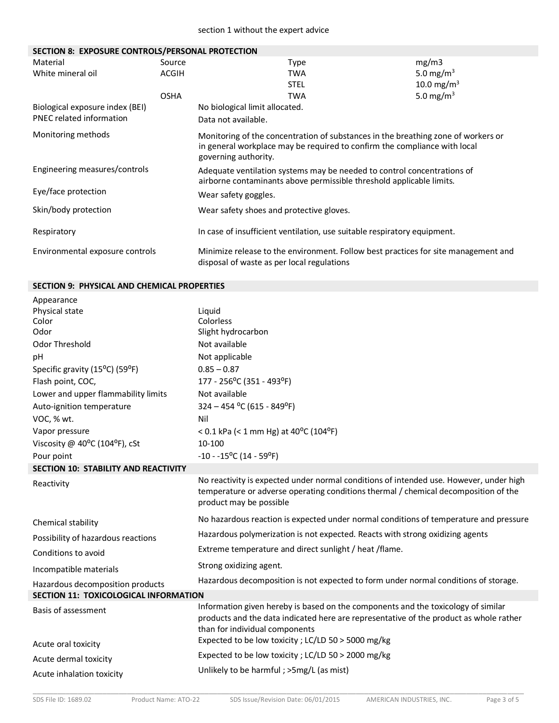## **SECTION 8: EXPOSURE CONTROLS/PERSONAL PROTECTION**

| Material                        | Source       | Type                                                                                                                                                                                   | mg/m3                  |
|---------------------------------|--------------|----------------------------------------------------------------------------------------------------------------------------------------------------------------------------------------|------------------------|
| White mineral oil               | <b>ACGIH</b> | TWA                                                                                                                                                                                    | 5.0 mg/m <sup>3</sup>  |
|                                 |              | <b>STEL</b>                                                                                                                                                                            | 10.0 mg/m <sup>3</sup> |
|                                 | <b>OSHA</b>  | TWA                                                                                                                                                                                    | 5.0 mg/m <sup>3</sup>  |
| Biological exposure index (BEI) |              | No biological limit allocated.                                                                                                                                                         |                        |
| <b>PNEC related information</b> |              | Data not available.                                                                                                                                                                    |                        |
| Monitoring methods              |              | Monitoring of the concentration of substances in the breathing zone of workers or<br>in general workplace may be required to confirm the compliance with local<br>governing authority. |                        |
| Engineering measures/controls   |              | Adequate ventilation systems may be needed to control concentrations of<br>airborne contaminants above permissible threshold applicable limits.                                        |                        |
| Eye/face protection             |              | Wear safety goggles.                                                                                                                                                                   |                        |
| Skin/body protection            |              | Wear safety shoes and protective gloves.                                                                                                                                               |                        |
| Respiratory                     |              | In case of insufficient ventilation, use suitable respiratory equipment.                                                                                                               |                        |
| Environmental exposure controls |              | Minimize release to the environment. Follow best practices for site management and<br>disposal of waste as per local regulations                                                       |                        |

## **SECTION 9: PHYSICAL AND CHEMICAL PROPERTIES**

| Appearance                                  |                                                                                                                                                                                                               |
|---------------------------------------------|---------------------------------------------------------------------------------------------------------------------------------------------------------------------------------------------------------------|
| Physical state                              | Liquid                                                                                                                                                                                                        |
| Color                                       | Colorless                                                                                                                                                                                                     |
| Odor                                        | Slight hydrocarbon                                                                                                                                                                                            |
| Odor Threshold                              | Not available                                                                                                                                                                                                 |
| pH                                          | Not applicable                                                                                                                                                                                                |
| Specific gravity (15°C) (59°F)              | $0.85 - 0.87$                                                                                                                                                                                                 |
| Flash point, COC,                           | 177 - 256°C (351 - 493°F)                                                                                                                                                                                     |
| Lower and upper flammability limits         | Not available                                                                                                                                                                                                 |
| Auto-ignition temperature                   | $324 - 454$ °C (615 - 849°F)                                                                                                                                                                                  |
| VOC, % wt.                                  | Nil                                                                                                                                                                                                           |
| Vapor pressure                              | < 0.1 kPa (< 1 mm Hg) at 40 <sup>o</sup> C (104 <sup>o</sup> F)                                                                                                                                               |
| Viscosity @ $40^{\circ}$ C (104°F), cSt     | 10-100                                                                                                                                                                                                        |
| Pour point                                  | $-10 - 15^{\circ}C (14 - 59^{\circ}F)$                                                                                                                                                                        |
| <b>SECTION 10: STABILITY AND REACTIVITY</b> |                                                                                                                                                                                                               |
| Reactivity                                  | No reactivity is expected under normal conditions of intended use. However, under high<br>temperature or adverse operating conditions thermal / chemical decomposition of the<br>product may be possible      |
| Chemical stability                          | No hazardous reaction is expected under normal conditions of temperature and pressure                                                                                                                         |
| Possibility of hazardous reactions          | Hazardous polymerization is not expected. Reacts with strong oxidizing agents                                                                                                                                 |
| Conditions to avoid                         | Extreme temperature and direct sunlight / heat /flame.                                                                                                                                                        |
| Incompatible materials                      | Strong oxidizing agent.                                                                                                                                                                                       |
| Hazardous decomposition products            | Hazardous decomposition is not expected to form under normal conditions of storage.                                                                                                                           |
| SECTION 11: TOXICOLOGICAL INFORMATION       |                                                                                                                                                                                                               |
| Basis of assessment                         | Information given hereby is based on the components and the toxicology of similar<br>products and the data indicated here are representative of the product as whole rather<br>than for individual components |
| Acute oral toxicity                         | Expected to be low toxicity ; LC/LD 50 > 5000 mg/kg                                                                                                                                                           |
| Acute dermal toxicity                       | Expected to be low toxicity ; LC/LD 50 > 2000 mg/kg                                                                                                                                                           |
| Acute inhalation toxicity                   | Unlikely to be harmful; >5mg/L (as mist)                                                                                                                                                                      |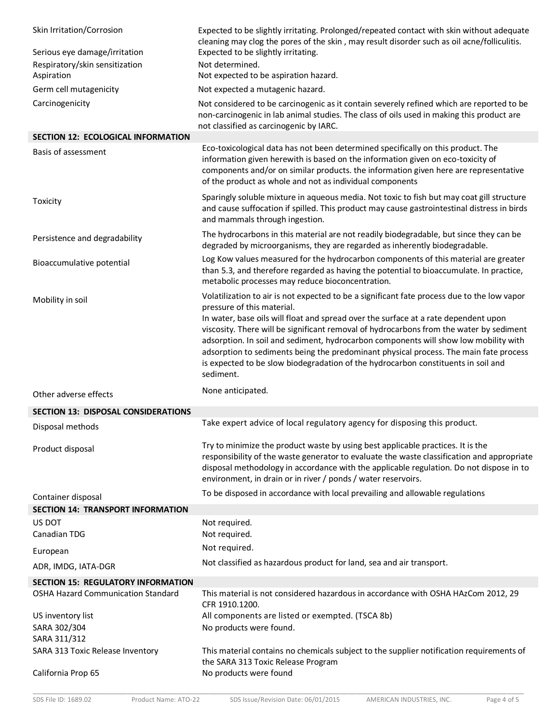| Skin Irritation/Corrosion<br>Serious eye damage/irritation     | Expected to be slightly irritating. Prolonged/repeated contact with skin without adequate<br>cleaning may clog the pores of the skin, may result disorder such as oil acne/folliculitis.<br>Expected to be slightly irritating.                                                                                                                                                                                                                                                              |
|----------------------------------------------------------------|----------------------------------------------------------------------------------------------------------------------------------------------------------------------------------------------------------------------------------------------------------------------------------------------------------------------------------------------------------------------------------------------------------------------------------------------------------------------------------------------|
| Respiratory/skin sensitization<br>Aspiration                   | Not determined.<br>Not expected to be aspiration hazard.                                                                                                                                                                                                                                                                                                                                                                                                                                     |
| Germ cell mutagenicity                                         | Not expected a mutagenic hazard.                                                                                                                                                                                                                                                                                                                                                                                                                                                             |
| Carcinogenicity                                                | Not considered to be carcinogenic as it contain severely refined which are reported to be<br>non-carcinogenic in lab animal studies. The class of oils used in making this product are<br>not classified as carcinogenic by IARC.                                                                                                                                                                                                                                                            |
| <b>SECTION 12: ECOLOGICAL INFORMATION</b>                      |                                                                                                                                                                                                                                                                                                                                                                                                                                                                                              |
| Basis of assessment                                            | Eco-toxicological data has not been determined specifically on this product. The<br>information given herewith is based on the information given on eco-toxicity of<br>components and/or on similar products. the information given here are representative<br>of the product as whole and not as individual components                                                                                                                                                                      |
| Toxicity                                                       | Sparingly soluble mixture in aqueous media. Not toxic to fish but may coat gill structure<br>and cause suffocation if spilled. This product may cause gastrointestinal distress in birds<br>and mammals through ingestion.                                                                                                                                                                                                                                                                   |
| Persistence and degradability                                  | The hydrocarbons in this material are not readily biodegradable, but since they can be<br>degraded by microorganisms, they are regarded as inherently biodegradable.                                                                                                                                                                                                                                                                                                                         |
| Bioaccumulative potential                                      | Log Kow values measured for the hydrocarbon components of this material are greater<br>than 5.3, and therefore regarded as having the potential to bioaccumulate. In practice,<br>metabolic processes may reduce bioconcentration.                                                                                                                                                                                                                                                           |
| Mobility in soil                                               | Volatilization to air is not expected to be a significant fate process due to the low vapor<br>pressure of this material.<br>In water, base oils will float and spread over the surface at a rate dependent upon<br>viscosity. There will be significant removal of hydrocarbons from the water by sediment<br>adsorption. In soil and sediment, hydrocarbon components will show low mobility with<br>adsorption to sediments being the predominant physical process. The main fate process |
|                                                                | is expected to be slow biodegradation of the hydrocarbon constituents in soil and<br>sediment.                                                                                                                                                                                                                                                                                                                                                                                               |
| Other adverse effects                                          | None anticipated.                                                                                                                                                                                                                                                                                                                                                                                                                                                                            |
| <b>SECTION 13: DISPOSAL CONSIDERATIONS</b>                     |                                                                                                                                                                                                                                                                                                                                                                                                                                                                                              |
| Disposal methods                                               | Take expert advice of local regulatory agency for disposing this product.                                                                                                                                                                                                                                                                                                                                                                                                                    |
| Product disposal                                               | Try to minimize the product waste by using best applicable practices. It is the<br>responsibility of the waste generator to evaluate the waste classification and appropriate<br>disposal methodology in accordance with the applicable regulation. Do not dispose in to<br>environment, in drain or in river / ponds / water reservoirs.                                                                                                                                                    |
|                                                                | To be disposed in accordance with local prevailing and allowable regulations                                                                                                                                                                                                                                                                                                                                                                                                                 |
| Container disposal<br><b>SECTION 14: TRANSPORT INFORMATION</b> |                                                                                                                                                                                                                                                                                                                                                                                                                                                                                              |
| US DOT                                                         | Not required.                                                                                                                                                                                                                                                                                                                                                                                                                                                                                |
| Canadian TDG                                                   | Not required.                                                                                                                                                                                                                                                                                                                                                                                                                                                                                |
| European                                                       | Not required.                                                                                                                                                                                                                                                                                                                                                                                                                                                                                |
| ADR, IMDG, IATA-DGR                                            | Not classified as hazardous product for land, sea and air transport.                                                                                                                                                                                                                                                                                                                                                                                                                         |
| <b>SECTION 15: REGULATORY INFORMATION</b>                      |                                                                                                                                                                                                                                                                                                                                                                                                                                                                                              |
| OSHA Hazard Communication Standard                             | This material is not considered hazardous in accordance with OSHA HAzCom 2012, 29<br>CFR 1910.1200.                                                                                                                                                                                                                                                                                                                                                                                          |
| US inventory list                                              | All components are listed or exempted. (TSCA 8b)                                                                                                                                                                                                                                                                                                                                                                                                                                             |
| SARA 302/304<br>SARA 311/312                                   | No products were found.                                                                                                                                                                                                                                                                                                                                                                                                                                                                      |
| SARA 313 Toxic Release Inventory<br>California Prop 65         | This material contains no chemicals subject to the supplier notification requirements of<br>the SARA 313 Toxic Release Program<br>No products were found                                                                                                                                                                                                                                                                                                                                     |